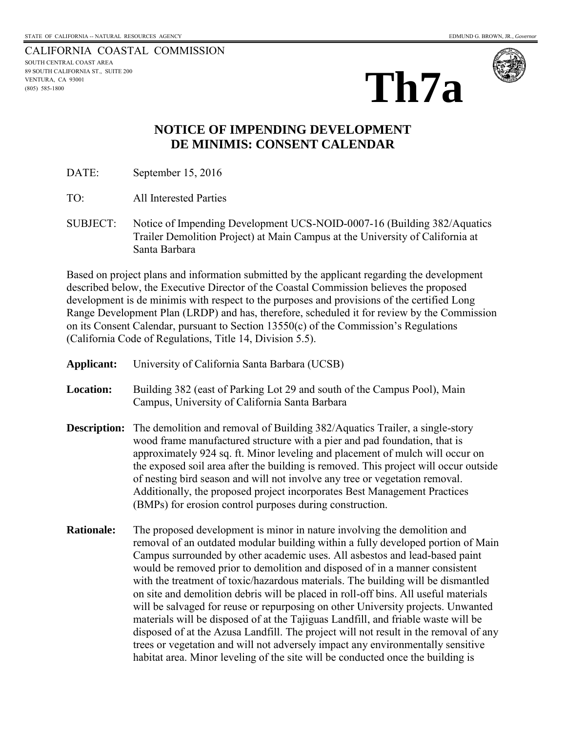CALIFORNIA COASTAL COMMISSION SOUTH CENTRAL COAST AREA 89 SOUTH CALIFORNIA ST., SUITE 200 VENTURA, CA 93001 (805) 585-1800





## **NOTICE OF IMPENDING DEVELOPMENT DE MINIMIS: CONSENT CALENDAR**

DATE: September 15, 2016

TO: All Interested Parties

SUBJECT: Notice of Impending Development UCS-NOID-0007-16 (Building 382/Aquatics Trailer Demolition Project) at Main Campus at the University of California at Santa Barbara

Based on project plans and information submitted by the applicant regarding the development described below, the Executive Director of the Coastal Commission believes the proposed development is de minimis with respect to the purposes and provisions of the certified Long Range Development Plan (LRDP) and has, therefore, scheduled it for review by the Commission on its Consent Calendar, pursuant to Section 13550(c) of the Commission's Regulations (California Code of Regulations, Title 14, Division 5.5).

| Applicant:        | University of California Santa Barbara (UCSB)                                                                                                                                                                                                                                                                                                                                                                                                                                                                                                                                                                                                                                                                                                                                                                                                                                                                                                |
|-------------------|----------------------------------------------------------------------------------------------------------------------------------------------------------------------------------------------------------------------------------------------------------------------------------------------------------------------------------------------------------------------------------------------------------------------------------------------------------------------------------------------------------------------------------------------------------------------------------------------------------------------------------------------------------------------------------------------------------------------------------------------------------------------------------------------------------------------------------------------------------------------------------------------------------------------------------------------|
| <b>Location:</b>  | Building 382 (east of Parking Lot 29 and south of the Campus Pool), Main<br>Campus, University of California Santa Barbara                                                                                                                                                                                                                                                                                                                                                                                                                                                                                                                                                                                                                                                                                                                                                                                                                   |
|                   | <b>Description:</b> The demolition and removal of Building 382/Aquatics Trailer, a single-story<br>wood frame manufactured structure with a pier and pad foundation, that is<br>approximately 924 sq. ft. Minor leveling and placement of mulch will occur on<br>the exposed soil area after the building is removed. This project will occur outside<br>of nesting bird season and will not involve any tree or vegetation removal.<br>Additionally, the proposed project incorporates Best Management Practices<br>(BMPs) for erosion control purposes during construction.                                                                                                                                                                                                                                                                                                                                                                |
| <b>Rationale:</b> | The proposed development is minor in nature involving the demolition and<br>removal of an outdated modular building within a fully developed portion of Main<br>Campus surrounded by other academic uses. All asbestos and lead-based paint<br>would be removed prior to demolition and disposed of in a manner consistent<br>with the treatment of toxic/hazardous materials. The building will be dismantled<br>on site and demolition debris will be placed in roll-off bins. All useful materials<br>will be salvaged for reuse or repurposing on other University projects. Unwanted<br>materials will be disposed of at the Tajiguas Landfill, and friable waste will be<br>disposed of at the Azusa Landfill. The project will not result in the removal of any<br>trees or vegetation and will not adversely impact any environmentally sensitive<br>habitat area. Minor leveling of the site will be conducted once the building is |